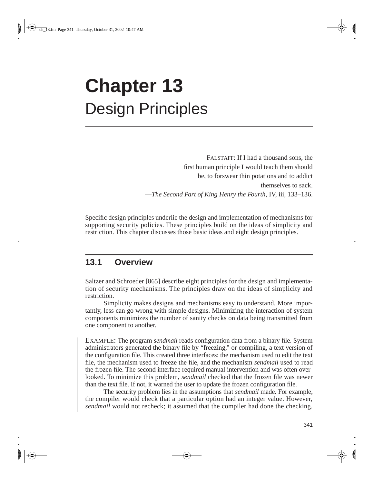FALSTAFF: If I had a thousand sons, the first human principle I would teach them should be, to forswear thin potations and to addict themselves to sack. —*The Second Part of King Henry the Fourth*, IV, iii, 133–136.

Specific design principles underlie the design and implementation of mechanisms for supporting security policies. These principles build on the ideas of simplicity and restriction. This chapter discusses those basic ideas and eight design principles.

# **13.1 Overview**

Saltzer and Schroeder [865] describe eight principles for the design and implementation of security mechanisms. The principles draw on the ideas of simplicity and restriction.

Simplicity makes designs and mechanisms easy to understand. More importantly, less can go wrong with simple designs. Minimizing the interaction of system components minimizes the number of sanity checks on data being transmitted from one component to another.

EXAMPLE: The program *sendmail* reads configuration data from a binary file. System administrators generated the binary file by "freezing," or compiling, a text version of the configuration file. This created three interfaces: the mechanism used to edit the text file, the mechanism used to freeze the file, and the mechanism *sendmail* used to read the frozen file. The second interface required manual intervention and was often overlooked. To minimize this problem, *sendmail* checked that the frozen file was newer than the text file. If not, it warned the user to update the frozen configuration file.

The security problem lies in the assumptions that *sendmail* made. For example, the compiler would check that a particular option had an integer value. However, *sendmail* would not recheck; it assumed that the compiler had done the checking.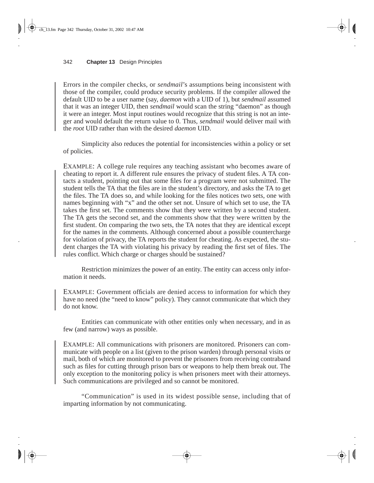Errors in the compiler checks, or *sendmail*'s assumptions being inconsistent with those of the compiler, could produce security problems. If the compiler allowed the default UID to be a user name (say, *daemon* with a UID of 1), but *sendmail* assumed that it was an integer UID, then *sendmail* would scan the string "daemon" as though it were an integer. Most input routines would recognize that this string is not an integer and would default the return value to 0. Thus, *sendmail* would deliver mail with the *root* UID rather than with the desired *daemon* UID.

Simplicity also reduces the potential for inconsistencies within a policy or set of policies.

EXAMPLE: A college rule requires any teaching assistant who becomes aware of cheating to report it. A different rule ensures the privacy of student files. A TA contacts a student, pointing out that some files for a program were not submitted. The student tells the TA that the files are in the student's directory, and asks the TA to get the files. The TA does so, and while looking for the files notices two sets, one with names beginning with "x" and the other set not. Unsure of which set to use, the TA takes the first set. The comments show that they were written by a second student. The TA gets the second set, and the comments show that they were written by the first student. On comparing the two sets, the TA notes that they are identical except for the names in the comments. Although concerned about a possible countercharge for violation of privacy, the TA reports the student for cheating. As expected, the student charges the TA with violating his privacy by reading the first set of files. The rules conflict. Which charge or charges should be sustained?

Restriction minimizes the power of an entity. The entity can access only information it needs.

EXAMPLE: Government officials are denied access to information for which they have no need (the "need to know" policy). They cannot communicate that which they do not know.

Entities can communicate with other entities only when necessary, and in as few (and narrow) ways as possible.

EXAMPLE: All communications with prisoners are monitored. Prisoners can communicate with people on a list (given to the prison warden) through personal visits or mail, both of which are monitored to prevent the prisoners from receiving contraband such as files for cutting through prison bars or weapons to help them break out. The only exception to the monitoring policy is when prisoners meet with their attorneys. Such communications are privileged and so cannot be monitored.

"Communication" is used in its widest possible sense, including that of imparting information by not communicating.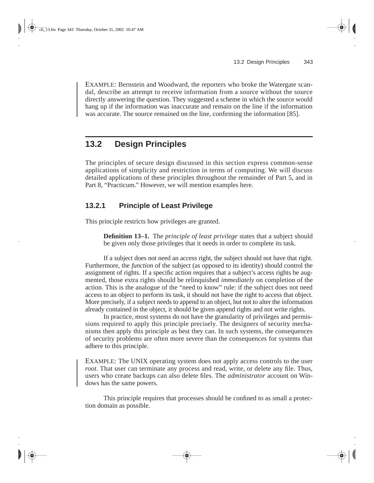EXAMPLE: Bernstein and Woodward, the reporters who broke the Watergate scandal, describe an attempt to receive information from a source without the source directly answering the question. They suggested a scheme in which the source would hang up if the information was inaccurate and remain on the line if the information was accurate. The source remained on the line, confirming the information [85].

## **13.2 Design Principles**

The principles of secure design discussed in this section express common-sense applications of simplicity and restriction in terms of computing. We will discuss detailed applications of these principles throughout the remainder of Part 5, and in Part 8, "Practicum." However, we will mention examples here.

## **13.2.1 Principle of Least Privilege**

This principle restricts how privileges are granted.

**Definition 13–1.** The *principle of least privilege* states that a subject should be given only those privileges that it needs in order to complete its task.

If a subject does not need an access right, the subject should not have that right. Furthermore, the *function* of the subject (as opposed to its identity) should control the assignment of rights. If a specific action requires that a subject's access rights be augmented, those extra rights should be relinquished *immediately* on completion of the action. This is the analogue of the "need to know" rule: if the subject does not need access to an object to perform its task, it should not have the right to access that object. More precisely, if a subject needs to append to an object, but not to alter the information already contained in the object, it should be given append rights and not write rights.

In practice, most systems do not have the granularity of privileges and permissions required to apply this principle precisely. The designers of security mechanisms then apply this principle as best they can. In such systems, the consequences of security problems are often more severe than the consequences for systems that adhere to this principle.

EXAMPLE: The UNIX operating system does not apply access controls to the user *root*. That user can terminate any process and read, write, or delete any file. Thus, users who create backups can also delete files. The *administrator* account on Windows has the same powers.

This principle requires that processes should be confined to as small a protection domain as possible.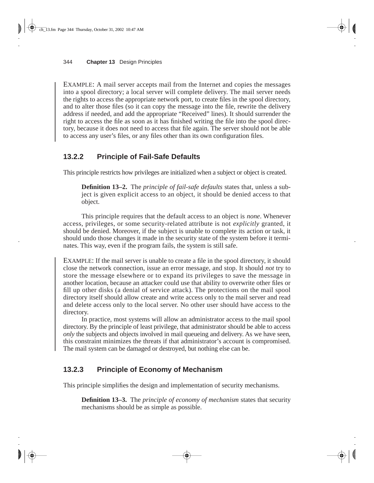EXAMPLE: A mail server accepts mail from the Internet and copies the messages into a spool directory; a local server will complete delivery. The mail server needs the rights to access the appropriate network port, to create files in the spool directory, and to alter those files (so it can copy the message into the file, rewrite the delivery address if needed, and add the appropriate "Received" lines). It should surrender the right to access the file as soon as it has finished writing the file into the spool directory, because it does not need to access that file again. The server should not be able to access any user's files, or any files other than its own configuration files.

## **13.2.2 Principle of Fail-Safe Defaults**

This principle restricts how privileges are initialized when a subject or object is created.

**Definition 13–2.** The *principle of fail-safe defaults* states that, unless a subject is given explicit access to an object, it should be denied access to that object.

This principle requires that the default access to an object is *none*. Whenever access, privileges, or some security-related attribute is not *explicitly* granted, it should be denied. Moreover, if the subject is unable to complete its action or task, it should undo those changes it made in the security state of the system before it terminates. This way, even if the program fails, the system is still safe.

EXAMPLE: If the mail server is unable to create a file in the spool directory, it should close the network connection, issue an error message, and stop. It should *not* try to store the message elsewhere or to expand its privileges to save the message in another location, because an attacker could use that ability to overwrite other files or fill up other disks (a denial of service attack). The protections on the mail spool directory itself should allow create and write access only to the mail server and read and delete access only to the local server. No other user should have access to the directory.

In practice, most systems will allow an administrator access to the mail spool directory. By the principle of least privilege, that administrator should be able to access *only* the subjects and objects involved in mail queueing and delivery. As we have seen, this constraint minimizes the threats if that administrator's account is compromised. The mail system can be damaged or destroyed, but nothing else can be.

#### **13.2.3 Principle of Economy of Mechanism**

This principle simplifies the design and implementation of security mechanisms.

**Definition 13–3.** The *principle of economy of mechanism* states that security mechanisms should be as simple as possible.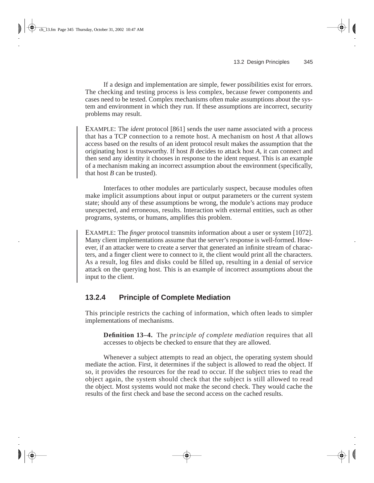13.2 Design Principles 345

If a design and implementation are simple, fewer possibilities exist for errors. The checking and testing process is less complex, because fewer components and cases need to be tested. Complex mechanisms often make assumptions about the system and environment in which they run. If these assumptions are incorrect, security problems may result.

EXAMPLE: The *ident* protocol [861] sends the user name associated with a process that has a TCP connection to a remote host. A mechanism on host *A* that allows access based on the results of an ident protocol result makes the assumption that the originating host is trustworthy. If host *B* decides to attack host *A*, it can connect and then send any identity it chooses in response to the ident request. This is an example of a mechanism making an incorrect assumption about the environment (specifically, that host *B* can be trusted).

Interfaces to other modules are particularly suspect, because modules often make implicit assumptions about input or output parameters or the current system state; should any of these assumptions be wrong, the module's actions may produce unexpected, and erroneous, results. Interaction with external entities, such as other programs, systems, or humans, amplifies this problem.

EXAMPLE: The *finger* protocol transmits information about a user or system [1072]. Many client implementations assume that the server's response is well-formed. However, if an attacker were to create a server that generated an infinite stream of characters, and a finger client were to connect to it, the client would print all the characters. As a result, log files and disks could be filled up, resulting in a denial of service attack on the querying host. This is an example of incorrect assumptions about the input to the client.

#### **13.2.4 Principle of Complete Mediation**

This principle restricts the caching of information, which often leads to simpler implementations of mechanisms.

**Definition 13–4.** The *principle of complete mediation* requires that all accesses to objects be checked to ensure that they are allowed.

Whenever a subject attempts to read an object, the operating system should mediate the action. First, it determines if the subject is allowed to read the object. If so, it provides the resources for the read to occur. If the subject tries to read the object again, the system should check that the subject is still allowed to read the object. Most systems would not make the second check. They would cache the results of the first check and base the second access on the cached results.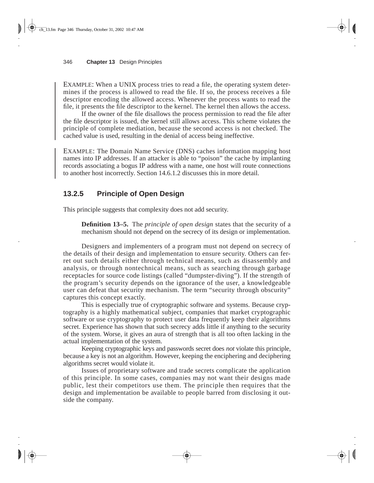EXAMPLE: When a UNIX process tries to read a file, the operating system determines if the process is allowed to read the file. If so, the process receives a file descriptor encoding the allowed access. Whenever the process wants to read the file, it presents the file descriptor to the kernel. The kernel then allows the access.

If the owner of the file disallows the process permission to read the file after the file descriptor is issued, the kernel still allows access. This scheme violates the principle of complete mediation, because the second access is not checked. The cached value is used, resulting in the denial of access being ineffective.

EXAMPLE: The Domain Name Service (DNS) caches information mapping host names into IP addresses. If an attacker is able to "poison" the cache by implanting records associating a bogus IP address with a name, one host will route connections to another host incorrectly. Section 14.6.1.2 discusses this in more detail.

## **13.2.5 Principle of Open Design**

This principle suggests that complexity does not add security.

**Definition 13–5.** The *principle of open design* states that the security of a mechanism should not depend on the secrecy of its design or implementation.

Designers and implementers of a program must not depend on secrecy of the details of their design and implementation to ensure security. Others can ferret out such details either through technical means, such as disassembly and analysis, or through nontechnical means, such as searching through garbage receptacles for source code listings (called "dumpster-diving"). If the strength of the program's security depends on the ignorance of the user, a knowledgeable user can defeat that security mechanism. The term "security through obscurity" captures this concept exactly.

This is especially true of cryptographic software and systems. Because cryptography is a highly mathematical subject, companies that market cryptographic software or use cryptography to protect user data frequently keep their algorithms secret. Experience has shown that such secrecy adds little if anything to the security of the system. Worse, it gives an aura of strength that is all too often lacking in the actual implementation of the system.

Keeping cryptographic keys and passwords secret does *not* violate this principle, because a key is not an algorithm. However, keeping the enciphering and deciphering algorithms secret would violate it.

Issues of proprietary software and trade secrets complicate the application of this principle. In some cases, companies may not want their designs made public, lest their competitors use them. The principle then requires that the design and implementation be available to people barred from disclosing it outside the company.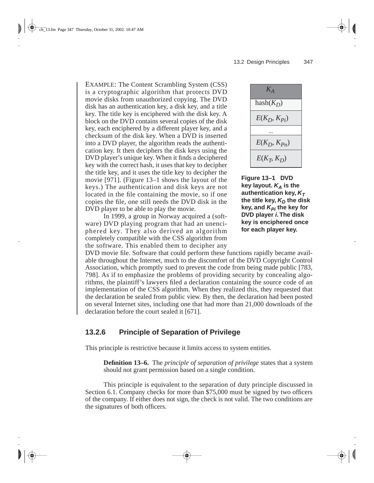EXAMPLE: The Content Scrambling System (CSS) is a cryptographic algorithm that protects DVD movie disks from unauthorized copying. The DVD disk has an authentication key, a disk key, and a title key. The title key is enciphered with the disk key. A block on the DVD contains several copies of the disk key, each enciphered by a different player key, and a checksum of the disk key. When a DVD is inserted into a DVD player, the algorithm reads the authentication key. It then deciphers the disk keys using the DVD player's unique key. When it finds a deciphered key with the correct hash, it uses that key to decipher the title key, and it uses the title key to decipher the movie [971]. (Figure 13–1 shows the layout of the keys.) The authentication and disk keys are not located in the file containing the movie, so if one copies the file, one still needs the DVD disk in the DVD player to be able to play the movie.

In 1999, a group in Norway acquired a (software) DVD playing program that had an unenciphered key. They also derived an algorithm completely compatible with the CSS algorithm from the software. This enabled them to decipher any



**Figure 13–1 DVD**   $key$  layout.  $K_A$  is the authentication key,  $K_T$ the title key,  $K_D$  the disk **key, and**  $K_{pi}$  **the key for DVD player i. The disk key is enciphered once for each player key.**

DVD movie file. Software that could perform these functions rapidly became available throughout the Internet, much to the discomfort of the DVD Copyright Control Association, which promptly sued to prevent the code from being made public [783, 798]. As if to emphasize the problems of providing security by concealing algorithms, the plaintiff's lawyers filed a declaration containing the source code of an implementation of the CSS algorithm. When they realized this, they requested that the declaration be sealed from public view. By then, the declaration had been posted on several Internet sites, including one that had more than 21,000 downloads of the declaration before the court sealed it [671].

#### **13.2.6 Principle of Separation of Privilege**

This principle is restrictive because it limits access to system entities.

**Definition 13–6.** The *principle of separation of privilege* states that a system should not grant permission based on a single condition.

This principle is equivalent to the separation of duty principle discussed in Section 6.1. Company checks for more than \$75,000 must be signed by two officers of the company. If either does not sign, the check is not valid. The two conditions are the signatures of both officers.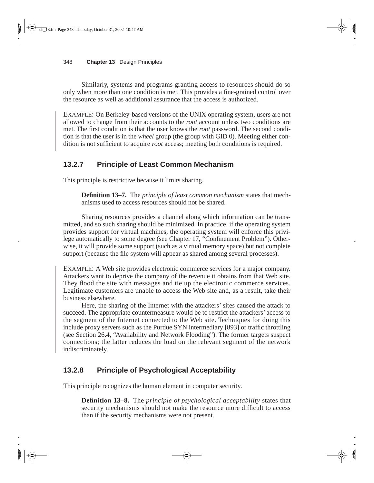Similarly, systems and programs granting access to resources should do so only when more than one condition is met. This provides a fine-grained control over the resource as well as additional assurance that the access is authorized.

EXAMPLE: On Berkeley-based versions of the UNIX operating system, users are not allowed to change from their accounts to the *root* account unless two conditions are met. The first condition is that the user knows the *root* password. The second condition is that the user is in the *wheel* group (the group with GID 0). Meeting either condition is not sufficient to acquire *root* access; meeting both conditions is required.

## **13.2.7 Principle of Least Common Mechanism**

This principle is restrictive because it limits sharing.

**Definition 13–7.** The *principle of least common mechanism* states that mechanisms used to access resources should not be shared.

Sharing resources provides a channel along which information can be transmitted, and so such sharing should be minimized. In practice, if the operating system provides support for virtual machines, the operating system will enforce this privilege automatically to some degree (see Chapter 17, "Confinement Problem"). Otherwise, it will provide some support (such as a virtual memory space) but not complete support (because the file system will appear as shared among several processes).

EXAMPLE: A Web site provides electronic commerce services for a major company. Attackers want to deprive the company of the revenue it obtains from that Web site. They flood the site with messages and tie up the electronic commerce services. Legitimate customers are unable to access the Web site and, as a result, take their business elsewhere.

Here, the sharing of the Internet with the attackers' sites caused the attack to succeed. The appropriate countermeasure would be to restrict the attackers' access to the segment of the Internet connected to the Web site. Techniques for doing this include proxy servers such as the Purdue SYN intermediary [893] or traffic throttling (see Section 26.4, "Availability and Network Flooding"). The former targets suspect connections; the latter reduces the load on the relevant segment of the network indiscriminately.

## **13.2.8 Principle of Psychological Acceptability**

This principle recognizes the human element in computer security.

**Definition 13–8.** The *principle of psychological acceptability* states that security mechanisms should not make the resource more difficult to access than if the security mechanisms were not present.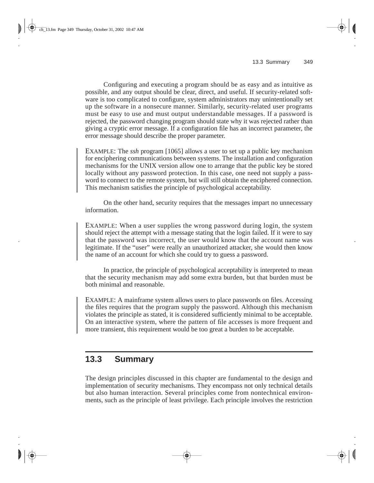13.3 Summary 349

Configuring and executing a program should be as easy and as intuitive as possible, and any output should be clear, direct, and useful. If security-related software is too complicated to configure, system administrators may unintentionally set up the software in a nonsecure manner. Similarly, security-related user programs must be easy to use and must output understandable messages. If a password is rejected, the password changing program should state why it was rejected rather than giving a cryptic error message. If a configuration file has an incorrect parameter, the error message should describe the proper parameter.

EXAMPLE: The *ssh* program [1065] allows a user to set up a public key mechanism for enciphering communications between systems. The installation and configuration mechanisms for the UNIX version allow one to arrange that the public key be stored locally without any password protection. In this case, one need not supply a password to connect to the remote system, but will still obtain the enciphered connection. This mechanism satisfies the principle of psychological acceptability.

On the other hand, security requires that the messages impart no unnecessary information.

EXAMPLE: When a user supplies the wrong password during login, the system should reject the attempt with a message stating that the login failed. If it were to say that the password was incorrect, the user would know that the account name was legitimate. If the "user" were really an unauthorized attacker, she would then know the name of an account for which she could try to guess a password.

In practice, the principle of psychological acceptability is interpreted to mean that the security mechanism may add some extra burden, but that burden must be both minimal and reasonable.

EXAMPLE: A mainframe system allows users to place passwords on files. Accessing the files requires that the program supply the password. Although this mechanism violates the principle as stated, it is considered sufficiently minimal to be acceptable. On an interactive system, where the pattern of file accesses is more frequent and more transient, this requirement would be too great a burden to be acceptable.

# **13.3 Summary**

The design principles discussed in this chapter are fundamental to the design and implementation of security mechanisms. They encompass not only technical details but also human interaction. Several principles come from nontechnical environments, such as the principle of least privilege. Each principle involves the restriction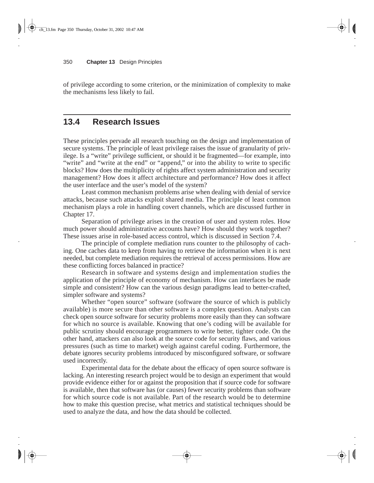of privilege according to some criterion, or the minimization of complexity to make the mechanisms less likely to fail.

# **13.4 Research Issues**

These principles pervade all research touching on the design and implementation of secure systems. The principle of least privilege raises the issue of granularity of privilege. Is a "write" privilege sufficient, or should it be fragmented—for example, into "write" and "write at the end" or "append," or into the ability to write to specific blocks? How does the multiplicity of rights affect system administration and security management? How does it affect architecture and performance? How does it affect the user interface and the user's model of the system?

Least common mechanism problems arise when dealing with denial of service attacks, because such attacks exploit shared media. The principle of least common mechanism plays a role in handling covert channels, which are discussed further in Chapter 17.

Separation of privilege arises in the creation of user and system roles. How much power should administrative accounts have? How should they work together? These issues arise in role-based access control, which is discussed in Section 7.4.

The principle of complete mediation runs counter to the philosophy of caching. One caches data to keep from having to retrieve the information when it is next needed, but complete mediation requires the retrieval of access permissions. How are these conflicting forces balanced in practice?

Research in software and systems design and implementation studies the application of the principle of economy of mechanism. How can interfaces be made simple and consistent? How can the various design paradigms lead to better-crafted, simpler software and systems?

Whether "open source" software (software the source of which is publicly available) is more secure than other software is a complex question. Analysts can check open source software for security problems more easily than they can software for which no source is available. Knowing that one's coding will be available for public scrutiny should encourage programmers to write better, tighter code. On the other hand, attackers can also look at the source code for security flaws, and various pressures (such as time to market) weigh against careful coding. Furthermore, the debate ignores security problems introduced by misconfigured software, or software used incorrectly.

Experimental data for the debate about the efficacy of open source software is lacking. An interesting research project would be to design an experiment that would provide evidence either for or against the proposition that if source code for software is available, then that software has (or causes) fewer security problems than software for which source code is not available. Part of the research would be to determine how to make this question precise, what metrics and statistical techniques should be used to analyze the data, and how the data should be collected.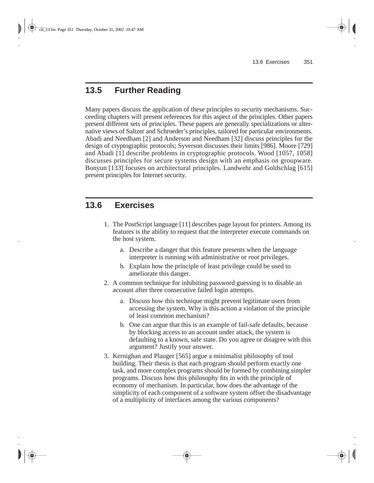13.6 Exercises 351

# **13.5 Further Reading**

Many papers discuss the application of these principles to security mechanisms. Succeeding chapters will present references for this aspect of the principles. Other papers present different sets of principles. These papers are generally specializations or alternative views of Saltzer and Schroeder's principles, tailored for particular environments. Abadi and Needham [2] and Anderson and Needham [32] discuss principles for the design of cryptographic protocols; Syverson discusses their limits [986]. Moore [729] and Abadi [1] describe problems in cryptographic protocols. Wood [1057, 1058] discusses principles for secure systems design with an emphasis on groupware. Bonyun [133] focuses on architectural principles. Landwehr and Goldschlag [615] present principles for Internet security.

## **13.6 Exercises**

- 1. The PostScript language [11] describes page layout for printers. Among its features is the ability to request that the interpreter execute commands on the host system.
	- a. Describe a danger that this feature presents when the language interpreter is running with administrative or *root* privileges.
	- b. Explain how the principle of least privilege could be used to ameliorate this danger.
- 2. A common technique for inhibiting password guessing is to disable an account after three consecutive failed login attempts.
	- a. Discuss how this technique might prevent legitimate users from accessing the system. Why is this action a violation of the principle of least common mechanism?
	- b. One can argue that this is an example of fail-safe defaults, because by blocking access to an account under attack, the system is defaulting to a known, safe state. Do you agree or disagree with this argument? Justify your answer.
- 3. Kernighan and Plauger [565] argue a minimalist philosophy of tool building. Their thesis is that each program should perform exactly one task, and more complex programs should be formed by combining simpler programs. Discuss how this philosophy fits in with the principle of economy of mechanism. In particular, how does the advantage of the simplicity of each component of a software system offset the disadvantage of a multiplicity of interfaces among the various components?